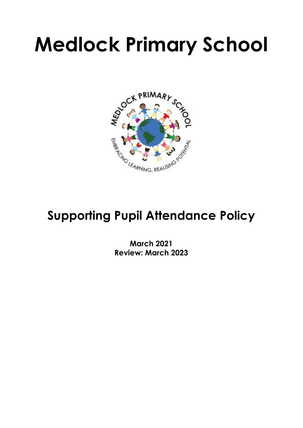# **Medlock Primary School**



# **Supporting Pupil Attendance Policy**

**March 2021 Review: March 2023**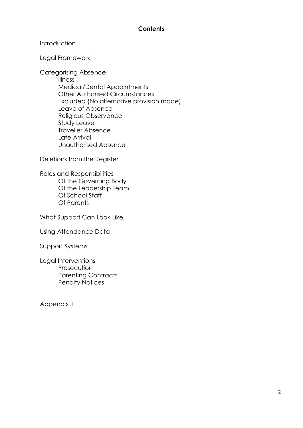#### **Contents**

#### **Introduction**

Legal Framework

Categorising Absence

Illness Medical/Dental Appointments Other Authorised Circumstances Excluded (No alternative provision made) Leave of Absence Religious Observance Study Leave Traveller Absence Late Arrival Unauthorised Absence

Deletions from the Register

Roles and Responsibilities Of the Governing Body Of the Leadership Team Of School Staff Of Parents

What Support Can Look Like

Using Attendance Data

Support Systems

Legal Interventions **Prosecution** Parenting Contracts Penalty Notices

Appendix 1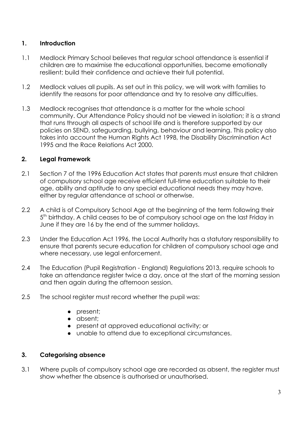#### **1. Introduction**

- 1.1 Medlock Primary School believes that regular school attendance is essential if children are to maximise the educational opportunities, become emotionally resilient; build their confidence and achieve their full potential.
- 1.2 Medlock values all pupils. As set out in this policy, we will work with families to identify the reasons for poor attendance and try to resolve any difficulties.
- 1.3 Medlock recognises that attendance is a matter for the whole school community. Our Attendance Policy should not be viewed in isolation; it is a strand that runs through all aspects of school life and is therefore supported by our policies on SEND, safeguarding, bullying, behaviour and learning. This policy also takes into account the Human Rights Act 1998, the Disability Discrimination Act 1995 and the Race Relations Act 2000.

#### **2. Legal Framework**

- 2.1 Section 7 of the 1996 Education Act states that parents must ensure that children of compulsory school age receive efficient full-time education suitable to their age, ability and aptitude to any special educational needs they may have, either by regular attendance at school or otherwise.
- 2.2 A child is of Compulsory School Age at the beginning of the term following their 5<sup>th</sup> birthday. A child ceases to be of compulsory school age on the last Friday in June if they are 16 by the end of the summer holidays.
- 2.3 Under the Education Act 1996, the Local Authority has a statutory responsibility to ensure that parents secure education for children of compulsory school age and where necessary, use legal enforcement.
- 2.4 The Education (Pupil Registration England) Regulations 2013, require schools to take an attendance register twice a day, once at the start of the morning session and then again during the afternoon session.
- 2.5 The school register must record whether the pupil was:
	- present;
	- absent;
	- present at approved educational activity; or
	- unable to attend due to exceptional circumstances.

#### **3. Categorising absence**

3.1 Where pupils of compulsory school age are recorded as absent, the register must show whether the absence is authorised or unauthorised.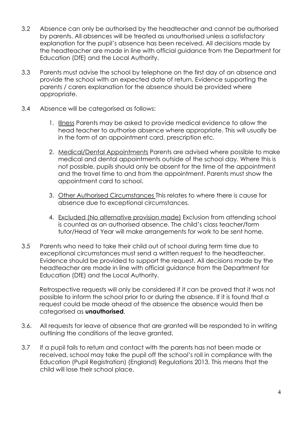- 3.2 Absence can only be authorised by the headteacher and cannot be authorised by parents. All absences will be treated as unauthorised unless a satisfactory explanation for the pupil's absence has been received. All decisions made by the headteacher are made in line with official guidance from the Department for Education (DfE) and the Local Authority.
- 3.3 Parents must advise the school by telephone on the first day of an absence and provide the school with an expected date of return. Evidence supporting the parents / carers explanation for the absence should be provided where appropriate.
- 3.4 Absence will be categorised as follows:
	- 1. Illness Parents may be asked to provide medical evidence to allow the head teacher to authorise absence where appropriate. This will usually be in the form of an appointment card, prescription etc.
	- 2. Medical/Dental Appointments Parents are advised where possible to make medical and dental appointments outside of the school day. Where this is not possible, pupils should only be absent for the time of the appointment and the travel time to and from the appointment. Parents must show the appointment card to school.
	- 3. Other Authorised Circumstances This relates to where there is cause for absence due to exceptional circumstances.
	- 4. Excluded (No alternative provision made) Exclusion from attending school is counted as an authorised absence. The child's class teacher/form tutor/Head of Year will make arrangements for work to be sent home.
- 3.5 Parents who need to take their child out of school during term time due to exceptional circumstances must send a written request to the headteacher. Evidence should be provided to support the request. All decisions made by the headteacher are made in line with official guidance from the Department for Education (DfE) and the Local Authority.

Retrospective requests will only be considered if it can be proved that it was not possible to inform the school prior to or during the absence. If it is found that a request could be made ahead of the absence the absence would then be categorised as **unauthorised**.

- 3.6. All requests for leave of absence that are granted will be responded to in writing outlining the conditions of the leave granted.
- 3.7 If a pupil fails to return and contact with the parents has not been made or received, school may take the pupil off the school's roll in compliance with the Education (Pupil Registration) (England) Regulations 2013. This means that the child will lose their school place.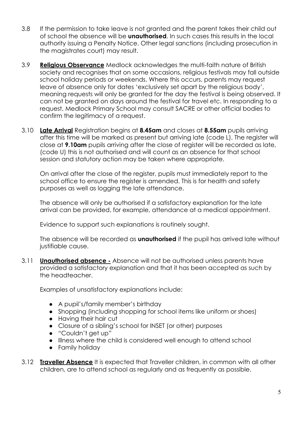- 3.8 If the permission to take leave is not granted and the parent takes their child out of school the absence will be **unauthorised**. In such cases this results in the local authority issuing a Penalty Notice. Other legal sanctions (including prosecution in the magistrates court) may result.
- 3.9 **Religious Observance** Medlock acknowledges the multi-faith nature of British society and recognises that on some occasions, religious festivals may fall outside school holiday periods or weekends. Where this occurs, parents may request leave of absence only for dates 'exclusively set apart by the religious body', meaning requests will only be granted for the day the festival is being observed. It can not be granted on days around the festival for travel etc. In responding to a request, Medlock Primary School may consult SACRE or other official bodies to confirm the legitimacy of a request.
- 3.10 **Late Arrival** Registration begins at **8.45am** and closes at **8.55am** pupils arriving after this time will be marked as present but arriving late (code L). The register will close at **9.10am** pupils arriving after the close of register will be recorded as late, (code U) this is not authorised and will count as an absence for that school session and statutory action may be taken where appropriate.

On arrival after the close of the register, pupils must immediately report to the school office to ensure the register is amended. This is for health and safety purposes as well as logging the late attendance.

The absence will only be authorised if a satisfactory explanation for the late arrival can be provided, for example, attendance at a medical appointment.

Evidence to support such explanations is routinely sought.

The absence will be recorded as **unauthorised** if the pupil has arrived late without justifiable cause.

3.11 **Unauthorised absence -** Absence will not be authorised unless parents have provided a satisfactory explanation and that it has been accepted as such by the headteacher.

Examples of unsatisfactory explanations include:

- A pupil's/family member's birthday
- Shopping (including shopping for school items like uniform or shoes)
- Having their hair cut
- Closure of a sibling's school for INSET (or other) purposes
- "Couldn't get up"
- Illness where the child is considered well enough to attend school
- Family holiday
- 3.12 **Traveller Absence** It is expected that Traveller children, in common with all other children, are to attend school as regularly and as frequently as possible.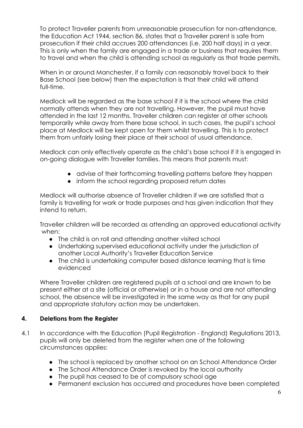To protect Traveller parents from unreasonable prosecution for non-attendance, the Education Act 1944, section 86, states that a Traveller parent is safe from prosecution if their child accrues 200 attendances (i.e. 200 half days) in a year. This is only when the family are engaged in a trade or business that requires them to travel and when the child is attending school as regularly as that trade permits.

When in or around Manchester, if a family can reasonably travel back to their Base School (see below) then the expectation is that their child will attend full-time.

Medlock will be regarded as the base school if it is the school where the child normally attends when they are not travelling. However, the pupil must have attended in the last 12 months. Traveller children can register at other schools temporarily while away from there base school, in such cases, the pupil's school place at Medlock will be kept open for them whilst travelling. This is to protect them from unfairly losing their place at their school of usual attendance.

Medlock can only effectively operate as the child's base school if it is engaged in on-going dialogue with Traveller families. This means that parents must:

- advise of their forthcoming travelling patterns before they happen
- inform the school regarding proposed return dates

Medlock will authorise absence of Traveller children if we are satisfied that a family is travelling for work or trade purposes and has given indication that they intend to return.

Traveller children will be recorded as attending an approved educational activity when:

- The child is on roll and attending another visited school
- Undertaking supervised educational activity under the jurisdiction of another Local Authority's Traveller Education Service
- The child is undertaking computer based distance learning that is time evidenced

Where Traveller children are registered pupils at a school and are known to be present either at a site (official or otherwise) or in a house and are not attending school, the absence will be investigated in the same way as that for any pupil and appropriate statutory action may be undertaken.

#### **4. Deletions from the Register**

- 4.1 In accordance with the Education (Pupil Registration England) Regulations 2013, pupils will only be deleted from the register when one of the following circumstances applies:
	- The school is replaced by another school on an School Attendance Order
	- The School Attendance Order is revoked by the local authority
	- The pupil has ceased to be of compulsory school age
	- Permanent exclusion has occurred and procedures have been completed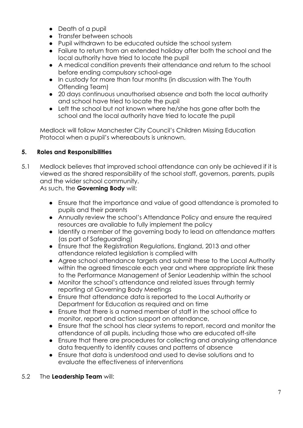- Death of a pupil
- Transfer between schools
- Pupil withdrawn to be educated outside the school system
- Failure to return from an extended holiday after both the school and the local authority have tried to locate the pupil
- A medical condition prevents their attendance and return to the school before ending compulsory school-age
- In custody for more than four months (in discussion with The Youth Offending Team)
- 20 days continuous unauthorised absence and both the local authority and school have tried to locate the pupil
- Left the school but not known where he/she has gone after both the school and the local authority have tried to locate the pupil

Medlock will follow Manchester City Council's Children Missing Education Protocol when a pupil's whereabouts is unknown.

#### **5. Roles and Responsibilities**

5.1 Medlock believes that improved school attendance can only be achieved if it is viewed as the shared responsibility of the school staff, governors, parents, pupils and the wider school community.

As such, the **Governing Body** will:

- Ensure that the importance and value of good attendance is promoted to pupils and their parents
- Annually review the school's Attendance Policy and ensure the required resources are available to fully implement the policy
- Identify a member of the governing body to lead on attendance matters (as part of Safeguarding)
- Ensure that the Registration Regulations, England, 2013 and other attendance related legislation is complied with
- Agree school attendance targets and submit these to the Local Authority within the agreed timescale each year and where appropriate link these to the Performance Management of Senior Leadership within the school
- Monitor the school's attendance and related issues through termly reporting at Governing Body Meetings
- Ensure that attendance data is reported to the Local Authority or Department for Education as required and on time
- Ensure that there is a named member of staff in the school office to monitor, report and action support on attendance,
- Ensure that the school has clear systems to report, record and monitor the attendance of all pupils, including those who are educated off-site
- Ensure that there are procedures for collecting and analysing attendance data frequently to identify causes and patterns of absence
- Ensure that data is understood and used to devise solutions and to evaluate the effectiveness of interventions

#### 5.2 The **Leadership Team** will: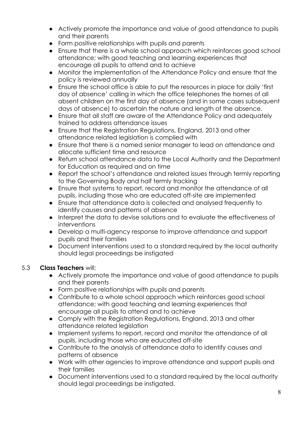- Actively promote the importance and value of good attendance to pupils and their parents
- Form positive relationships with pupils and parents
- Ensure that there is a whole school approach which reinforces good school attendance; with good teaching and learning experiences that encourage all pupils to attend and to achieve
- Monitor the implementation of the Attendance Policy and ensure that the policy is reviewed annually
- Ensure the school office is able to put the resources in place for daily 'first day of absence' calling in which the office telephones the homes of all absent children on the first day of absence (and in some cases subsequent days of absence) to ascertain the nature and length of the absence.
- Ensure that all staff are aware of the Attendance Policy and adequately trained to address attendance issues
- Ensure that the Registration Regulations, England, 2013 and other attendance related legislation is complied with
- Ensure that there is a named senior manager to lead on attendance and allocate sufficient time and resource
- Return school attendance data to the Local Authority and the Department for Education as required and on time
- Report the school's attendance and related issues through termly reporting to the Governing Body and half termly tracking
- Ensure that systems to report, record and monitor the attendance of all pupils, including those who are educated off-site are implemented
- Ensure that attendance data is collected and analysed frequently to identify causes and patterns of absence
- Interpret the data to devise solutions and to evaluate the effectiveness of interventions
- Develop a multi-agency response to improve attendance and support pupils and their families
- Document interventions used to a standard required by the local authority should legal proceedings be instigated

## 5.3 **Class Teachers** will:

- Actively promote the importance and value of good attendance to pupils and their parents
- Form positive relationships with pupils and parents
- Contribute to a whole school approach which reinforces good school attendance; with good teaching and learning experiences that encourage all pupils to attend and to achieve
- Comply with the Registration Regulations, England, 2013 and other attendance related legislation
- Implement systems to report, record and monitor the attendance of all pupils, including those who are educated off-site
- Contribute to the analysis of attendance data to identify causes and patterns of absence
- Work with other agencies to improve attendance and support pupils and their families
- Document interventions used to a standard required by the local authority should legal proceedings be instigated.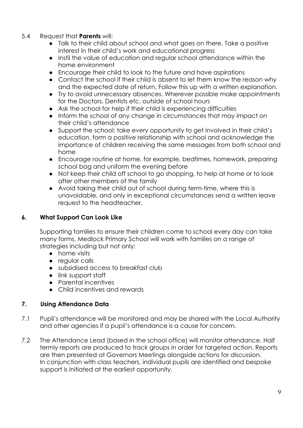- 5.4 Request that **Parents** will:
	- Talk to their child about school and what goes on there. Take a positive interest in their child's work and educational progress
	- Instil the value of education and regular school attendance within the home environment
	- Encourage their child to look to the future and have aspirations
	- Contact the school if their child is absent to let them know the reason why and the expected date of return. Follow this up with a written explanation.
	- Try to avoid unnecessary absences. Wherever possible make appointments for the Doctors, Dentists etc. outside of school hours
	- Ask the school for help if their child is experiencing difficulties
	- Inform the school of any change in circumstances that may impact on their child's attendance
	- Support the school; take every opportunity to get involved in their child's education, form a positive relationship with school and acknowledge the importance of children receiving the same messages from both school and home
	- Encourage routine at home, for example, bedtimes, homework, preparing school bag and uniform the evening before
	- Not keep their child off school to go shopping, to help at home or to look after other members of the family
	- Avoid taking their child out of school during term-time, where this is unavoidable, and only in exceptional circumstances send a written leave request to the headteacher.

#### **6. What Support Can Look Like**

Supporting families to ensure their children come to school every day can take many forms. Medlock Primary School will work with families on a range of strategies including but not only:

- home visits
- regular calls
- subsidised access to breakfast club
- link support staff
- Parental incentives
- Child incentives and rewards

#### **7. Using Attendance Data**

- 7.1 Pupil's attendance will be monitored and may be shared with the Local Authority and other agencies if a pupil's attendance is a cause for concern.
- 7.2 The Attendance Lead (based in the school office) will monitor attendance. Half termly reports are produced to track groups in order for targeted action. Reports are then presented at Governors Meetings alongside actions for discussion. In conjunction with class teachers, individual pupils are identified and bespoke support is initiated at the earliest opportunity.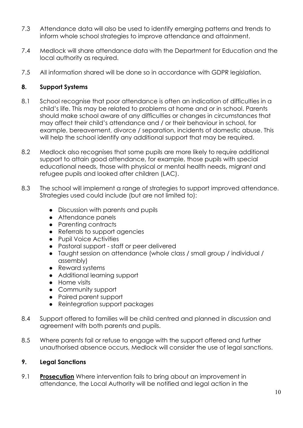- 7.3 Attendance data will also be used to identify emerging patterns and trends to inform whole school strategies to improve attendance and attainment.
- 7.4 Medlock will share attendance data with the Department for Education and the local authority as required.
- 7.5 All information shared will be done so in accordance with GDPR legislation.

#### **8. Support Systems**

- 8.1 School recognise that poor attendance is often an indication of difficulties in a child's life. This may be related to problems at home and or in school. Parents should make school aware of any difficulties or changes in circumstances that may affect their child's attendance and / or their behaviour in school, for example, bereavement, divorce / separation, incidents of domestic abuse. This will help the school identify any additional support that may be required.
- 8.2 Medlock also recognises that some pupils are more likely to require additional support to attain good attendance, for example, those pupils with special educational needs, those with physical or mental health needs, migrant and refugee pupils and looked after children (LAC).
- 8.3 The school will implement a range of strategies to support improved attendance. Strategies used could include (but are not limited to):
	- Discussion with parents and pupils
	- Attendance panels
	- Parenting contracts
	- Referrals to support agencies
	- Pupil Voice Activities
	- Pastoral support staff or peer delivered
	- Taught session on attendance (whole class / small group / individual / assembly)
	- Reward systems
	- Additional learning support
	- Home visits
	- Community support
	- Paired parent support
	- Reintegration support packages
- 8.4 Support offered to families will be child centred and planned in discussion and agreement with both parents and pupils.
- 8.5 Where parents fail or refuse to engage with the support offered and further unauthorised absence occurs, Medlock will consider the use of legal sanctions.

## **9. Legal Sanctions**

9.1 **Prosecution** Where intervention fails to bring about an improvement in attendance, the Local Authority will be notified and legal action in the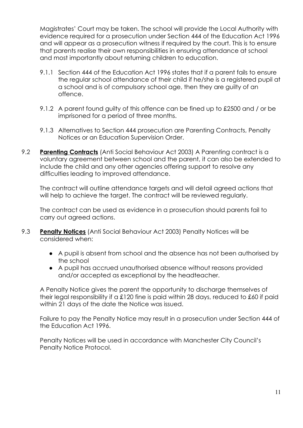Magistrates' Court may be taken. The school will provide the Local Authority with evidence required for a prosecution under Section 444 of the Education Act 1996 and will appear as a prosecution witness if required by the court. This is to ensure that parents realise their own responsibilities in ensuring attendance at school and most importantly about returning children to education.

- 9.1.1 Section 444 of the Education Act 1996 states that if a parent fails to ensure the regular school attendance of their child if he/she is a registered pupil at a school and is of compulsory school age, then they are guilty of an offence.
- 9.1.2 A parent found guilty of this offence can be fined up to £2500 and / or be imprisoned for a period of three months.
- 9.1.3 Alternatives to Section 444 prosecution are Parenting Contracts, Penalty Notices or an Education Supervision Order.
- 9.2 **Parenting Contracts** (Anti Social Behaviour Act 2003) A Parenting contract is a voluntary agreement between school and the parent, it can also be extended to include the child and any other agencies offering support to resolve any difficulties leading to improved attendance.

The contract will outline attendance targets and will detail agreed actions that will help to achieve the target. The contract will be reviewed regularly.

The contract can be used as evidence in a prosecution should parents fail to carry out agreed actions.

- 9.3 **Penalty Notices** (Anti Social Behaviour Act 2003) Penalty Notices will be considered when:
	- A pupil is absent from school and the absence has not been authorised by the school
	- A pupil has accrued unauthorised absence without reasons provided and/or accepted as exceptional by the headteacher.

A Penalty Notice gives the parent the opportunity to discharge themselves of their legal responsibility if a £120 fine is paid within 28 days, reduced to £60 if paid within 21 days of the date the Notice was issued.

Failure to pay the Penalty Notice may result in a prosecution under Section 444 of the Education Act 1996.

Penalty Notices will be used in accordance with Manchester City Council's Penalty Notice Protocol.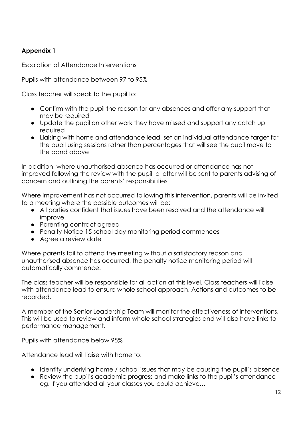## **Appendix 1**

Escalation of Attendance Interventions

Pupils with attendance between 97 to 95%

Class teacher will speak to the pupil to:

- Confirm with the pupil the reason for any absences and offer any support that may be required
- Update the pupil on other work they have missed and support any catch up required
- Liaising with home and attendance lead, set an individual attendance target for the pupil using sessions rather than percentages that will see the pupil move to the band above

In addition, where unauthorised absence has occurred or attendance has not improved following the review with the pupil, a letter will be sent to parents advising of concern and outlining the parents' responsibilities

Where improvement has not occurred following this intervention, parents will be invited to a meeting where the possible outcomes will be:

- All parties confident that issues have been resolved and the attendance will improve.
- Parenting contract agreed
- Penalty Notice 15 school day monitoring period commences
- Agree a review date

Where parents fail to attend the meeting without a satisfactory reason and unauthorised absence has occurred, the penalty notice monitoring period will automatically commence.

The class teacher will be responsible for all action at this level. Class teachers will liaise with attendance lead to ensure whole school approach. Actions and outcomes to be recorded.

A member of the Senior Leadership Team will monitor the effectiveness of interventions. This will be used to review and inform whole school strategies and will also have links to performance management.

Pupils with attendance below 95%

Attendance lead will liaise with home to:

- Identify underlying home / school issues that may be causing the pupil's absence
- Review the pupil's academic progress and make links to the pupil's attendance eg. If you attended all your classes you could achieve…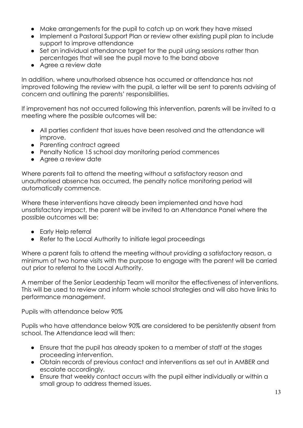- Make arrangements for the pupil to catch up on work they have missed
- Implement a Pastoral Support Plan or review other existing pupil plan to include support to improve attendance
- Set an individual attendance target for the pupil using sessions rather than percentages that will see the pupil move to the band above
- Agree a review date

In addition, where unauthorised absence has occurred or attendance has not improved following the review with the pupil, a letter will be sent to parents advising of concern and outlining the parents' responsibilities.

If improvement has not occurred following this intervention, parents will be invited to a meeting where the possible outcomes will be:

- All parties confident that issues have been resolved and the attendance will improve.
- Parenting contract agreed
- Penalty Notice 15 school day monitoring period commences
- Agree a review date

Where parents fail to attend the meeting without a satisfactory reason and unauthorised absence has occurred, the penalty notice monitoring period will automatically commence.

Where these interventions have already been implemented and have had unsatisfactory impact, the parent will be invited to an Attendance Panel where the possible outcomes will be:

- Early Help referral
- Refer to the Local Authority to initiate legal proceedings

Where a parent fails to attend the meeting without providing a satisfactory reason, a minimum of two home visits with the purpose to engage with the parent will be carried out prior to referral to the Local Authority.

A member of the Senior Leadership Team will monitor the effectiveness of interventions. This will be used to review and inform whole school strategies and will also have links to performance management.

Pupils with attendance below 90%

Pupils who have attendance below 90% are considered to be persistently absent from school. The Attendance lead will then:

- Ensure that the pupil has already spoken to a member of staff at the stages proceeding intervention.
- Obtain records of previous contact and interventions as set out in AMBER and escalate accordingly.
- Ensure that weekly contact occurs with the pupil either individually or within a small group to address themed issues.